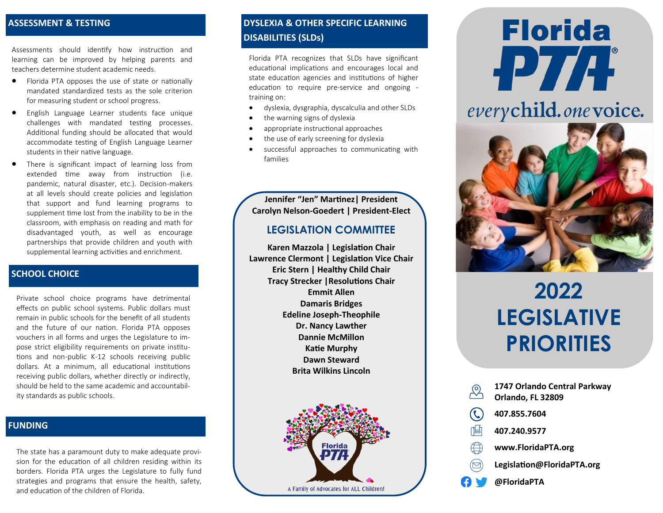#### **ASSESSMENT & TESTING**

Assessments should identify how instruction and learning can be improved by helping parents and teachers determine student academic needs.

- Florida PTA opposes the use of state or nationally mandated standardized tests as the sole criterion for measuring student or school progress.
- English Language Learner students face unique challenges with mandated testing processes. Additional funding should be allocated that would accommodate testing of English Language Learner students in their native language.
- There is significant impact of learning loss from extended time away from instruction (i.e. pandemic, natural disaster, etc.). Decision-makers at all levels should create policies and legislation that support and fund learning programs to supplement time lost from the inability to be in the classroom, with emphasis on reading and math for disadvantaged youth, as well as encourage partnerships that provide children and youth with supplemental learning activities and enrichment.

#### **SCHOOL CHOICE**

Private school choice programs have detrimental effects on public school systems. Public dollars must remain in public schools for the benefit of all students and the future of our nation. Florida PTA opposes vouchers in all forms and urges the Legislature to impose strict eligibility requirements on private institutions and non-public K-12 schools receiving public dollars. At a minimum, all educational institutions receiving public dollars, whether directly or indirectly, should be held to the same academic and accountability standards as public schools.

#### **FUNDING**

The state has a paramount duty to make adequate provision for the education of all children residing within its borders. Florida PTA urges the Legislature to fully fund strategies and programs that ensure the health, safety, and education of the children of Florida.

#### **DYSLEXIA & OTHER SPECIFIC LEARNING DISABILITIES (SLDs)**

Florida PTA recognizes that SLDs have significant educational implications and encourages local and state education agencies and institutions of higher education to require pre-service and ongoing training on:

- dyslexia, dysgraphia, dyscalculia and other SLDs
- the warning signs of dyslexia
- appropriate instructional approaches
- the use of early screening for dyslexia
- successful approaches to communicating with families

**Jennifer "Jen" Martinez| President Carolyn Nelson-Goedert | President-Elect**

#### **LEGISLATION COMMITTEE**

**Karen Mazzola | Legislation Chair Lawrence Clermont | Legislation Vice Chair Eric Stern | Healthy Child Chair Tracy Strecker |Resolutions Chair Emmit Allen Damaris Bridges Edeline Joseph-Theophile Dr. Nancy Lawther Dannie McMillon Katie Murphy Dawn Steward Brita Wilkins Lincoln**



# **Florida PTA**

### everychild.one voice.



## **2022 LEGISLATIVE PRIORITIES**

|      | 1747 Orlando Central Parkway<br>Orlando, FL 32809 |
|------|---------------------------------------------------|
|      | 407.855.7604                                      |
| ∩ਂ⊨' | 407.240.9577                                      |
|      | www.FloridaPTA.org                                |
|      | Legislation@FloridaPTA.org                        |
| t y  | @FloridaPTA                                       |